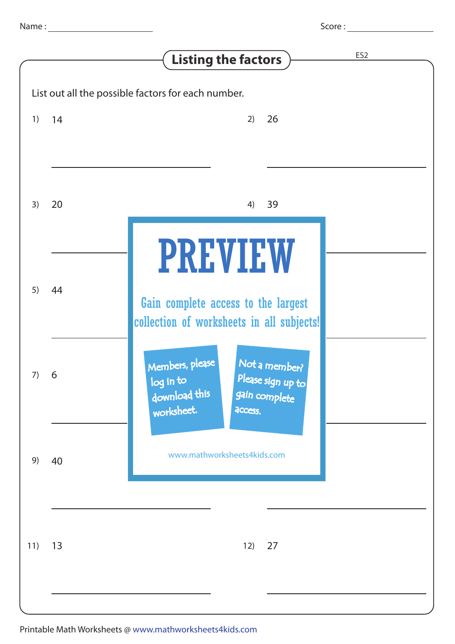| Score: |
|--------|
|--------|

|                                                    |    | ES <sub>2</sub><br><b>Listing the factors</b>                                                                                 |  |  |  |
|----------------------------------------------------|----|-------------------------------------------------------------------------------------------------------------------------------|--|--|--|
| List out all the possible factors for each number. |    |                                                                                                                               |  |  |  |
| 1)                                                 | 14 | 26<br>2)                                                                                                                      |  |  |  |
| 3)                                                 | 20 | 39<br>4)                                                                                                                      |  |  |  |
| 5)                                                 | 44 | <b>PREVIEW</b><br>Gain complete access to the largest<br>collection of worksheets in all subjects!                            |  |  |  |
| 7)                                                 | 6  | Members, please<br>Not a member?<br>Please sign up to<br>log in to<br>download this<br>gain complete<br>worksheet.<br>access. |  |  |  |
| 9)                                                 | 40 | www.mathworksheets4kids.com                                                                                                   |  |  |  |
| 11)                                                | 13 | 27<br>12)                                                                                                                     |  |  |  |
|                                                    |    |                                                                                                                               |  |  |  |